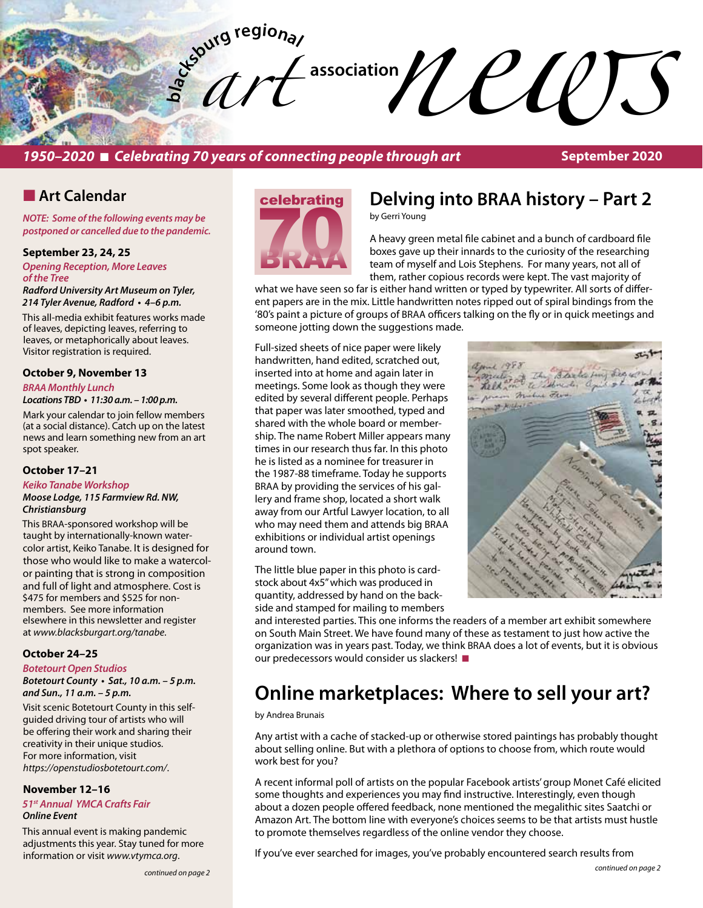

## **1950–2020 ■ Celebrating 70 years of connecting people through art**

# **n** Art Calendar

*NOTE: Some of the following events may be postponed or cancelled due to the pandemic.* 

#### **September 23, 24, 25**

*Opening Reception, More Leaves of the Tree* 

*Radford University Art Museum on Tyler,*  **214 Tyler Avenue, Radford • 4–6 p.m.** 

This all-media exhibit features works made of leaves, depicting leaves, referring to leaves, or metaphorically about leaves. Visitor registration is required.

#### **October 9, November 13**

*BRAA Monthly Lunch*

**Locations TBD • 11:30 a.m. – 1:00 p.m.** 

Mark your calendar to join fellow members (at a social distance). Catch up on the latest news and learn something new from an art spot speaker.

### **October 17–21**

*Keiko Tanabe Workshop Moose Lodge, 115 Farmview Rd. NW, Christiansburg* 

This BRAA-sponsored workshop will be taught by internationally-known watercolor artist, Keiko Tanabe. It is designed for those who would like to make a watercolor painting that is strong in composition and full of light and atmosphere. Cost is \$475 for members and \$525 for nonmembers. See more information elsewhere in this newsletter and register at *www.blacksburgart.org/tanabe*.

#### **October 24–25**

#### *Botetourt Open Studios*

**Botetourt County • Sat., 10 a.m. – 5 p.m. and Sun., 11 a.m. – 5 p.m.**

Visit scenic Botetourt County in this selfguided driving tour of artists who will be offering their work and sharing their creativity in their unique studios. For more information, visit *https://openstudiosbotetourt.com/*.

# **November 12–16**

*51st Annual YMCA Crafts Fair Online Event*

This annual event is making pandemic adjustments this year. Stay tuned for more information or visit *www.vtymca.org*.

# celebrating **70**

# **Delving into BRAA history – Part 2**

by Gerri Young

A heavy green metal file cabinet and a bunch of cardboard file boxes gave up their innards to the curiosity of the researching team of myself and Lois Stephens. For many years, not all of them, rather copious records were kept. The vast majority of

what we have seen so far is either hand written or typed by typewriter. All sorts of different papers are in the mix. Little handwritten notes ripped out of spiral bindings from the '80's paint a picture of groups of BRAA officers talking on the fly or in quick meetings and someone jotting down the suggestions made.

Full-sized sheets of nice paper were likely handwritten, hand edited, scratched out, inserted into at home and again later in meetings. Some look as though they were edited by several different people. Perhaps that paper was later smoothed, typed and shared with the whole board or membership. The name Robert Miller appears many times in our research thus far. In this photo he is listed as a nominee for treasurer in the 1987-88 timeframe. Today he supports BRAA by providing the services of his gallery and frame shop, located a short walk away from our Artful Lawyer location, to all who may need them and attends big BRAA exhibitions or individual artist openings around town.

The little blue paper in this photo is cardstock about 4x5" which was produced in quantity, addressed by hand on the backside and stamped for mailing to members



and interested parties. This one informs the readers of a member art exhibit somewhere on South Main Street. We have found many of these as testament to just how active the organization was in years past. Today, we think BRAA does a lot of events, but it is obvious our predecessors would consider us slackers!

# **Online marketplaces: Where to sell your art?**

by Andrea Brunais

Any artist with a cache of stacked-up or otherwise stored paintings has probably thought about selling online. But with a plethora of options to choose from, which route would work best for you?

A recent informal poll of artists on the popular Facebook artists' group Monet Café elicited some thoughts and experiences you may find instructive. Interestingly, even though about a dozen people offered feedback, none mentioned the megalithic sites Saatchi or Amazon Art. The bottom line with everyone's choices seems to be that artists must hustle to promote themselves regardless of the online vendor they choose.

If you've ever searched for images, you've probably encountered search results from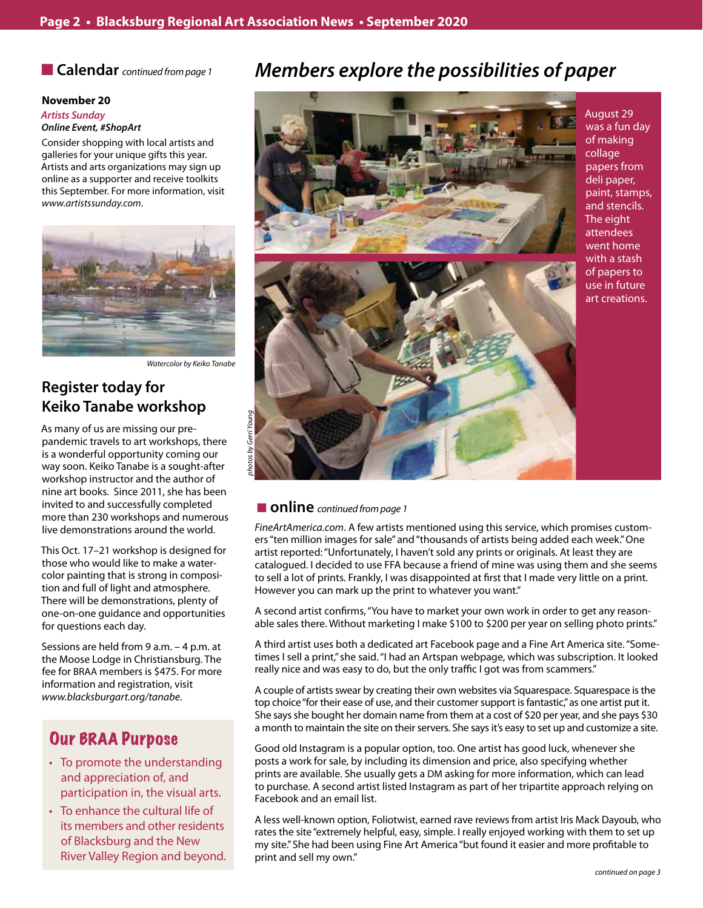**n Calendar** *continued from page 1* 

#### **November 20** *Artists Sunday Online Event, #ShopArt*

Consider shopping with local artists and galleries for your unique gifts this year. Artists and arts organizations may sign up online as a supporter and receive toolkits this September. For more information, visit *www.artistssunday.com*.



*Watercolor by Keiko Tanabe*

# **Register today for Keiko Tanabe workshop**

As many of us are missing our prepandemic travels to art workshops, there is a wonderful opportunity coming our way soon. Keiko Tanabe is a sought-after workshop instructor and the author of nine art books. Since 2011, she has been invited to and successfully completed more than 230 workshops and numerous live demonstrations around the world.

This Oct. 17–21 workshop is designed for those who would like to make a watercolor painting that is strong in composition and full of light and atmosphere. There will be demonstrations, plenty of one-on-one guidance and opportunities for questions each day.

Sessions are held from 9 a.m. – 4 p.m. at the Moose Lodge in Christiansburg. The fee for BRAA members is \$475. For more information and registration, visit *www.blacksburgart.org/tanabe*.

# Our BRAA Purpose

- To promote the understanding and appreciation of, and participation in, the visual arts.
- To enhance the cultural life of its members and other residents of Blacksburg and the New River Valley Region and beyond.

# *Members explore the possibilities of paper*



August 29 was a fun day of making collage papers from deli paper, paint, stamps, and stencils. The eight attendees went home with a stash of papers to use in future art creations.

### ■ **online** *continued from page 1*

*FineArtAmerica.com*. A few artists mentioned using this service, which promises customers "ten million images for sale" and "thousands of artists being added each week." One artist reported: "Unfortunately, I haven't sold any prints or originals. At least they are catalogued. I decided to use FFA because a friend of mine was using them and she seems to sell a lot of prints. Frankly, I was disappointed at first that I made very little on a print. However you can mark up the print to whatever you want."

A second artist confirms, "You have to market your own work in order to get any reasonable sales there. Without marketing I make \$100 to \$200 per year on selling photo prints."

A third artist uses both a dedicated art Facebook page and a Fine Art America site. "Sometimes I sell a print," she said. "I had an Artspan webpage, which was subscription. It looked really nice and was easy to do, but the only traffic I got was from scammers."

A couple of artists swear by creating their own websites via Squarespace. Squarespace is the top choice "for their ease of use, and their customer support is fantastic," as one artist put it. She says she bought her domain name from them at a cost of \$20 per year, and she pays \$30 a month to maintain the site on their servers. She says it's easy to set up and customize a site.

Good old Instagram is a popular option, too. One artist has good luck, whenever she posts a work for sale, by including its dimension and price, also specifying whether prints are available. She usually gets a DM asking for more information, which can lead to purchase. A second artist listed Instagram as part of her tripartite approach relying on Facebook and an email list.

A less well-known option, Foliotwist, earned rave reviews from artist Iris Mack Dayoub, who rates the site "extremely helpful, easy, simple. I really enjoyed working with them to set up my site." She had been using Fine Art America "but found it easier and more profitable to print and sell my own."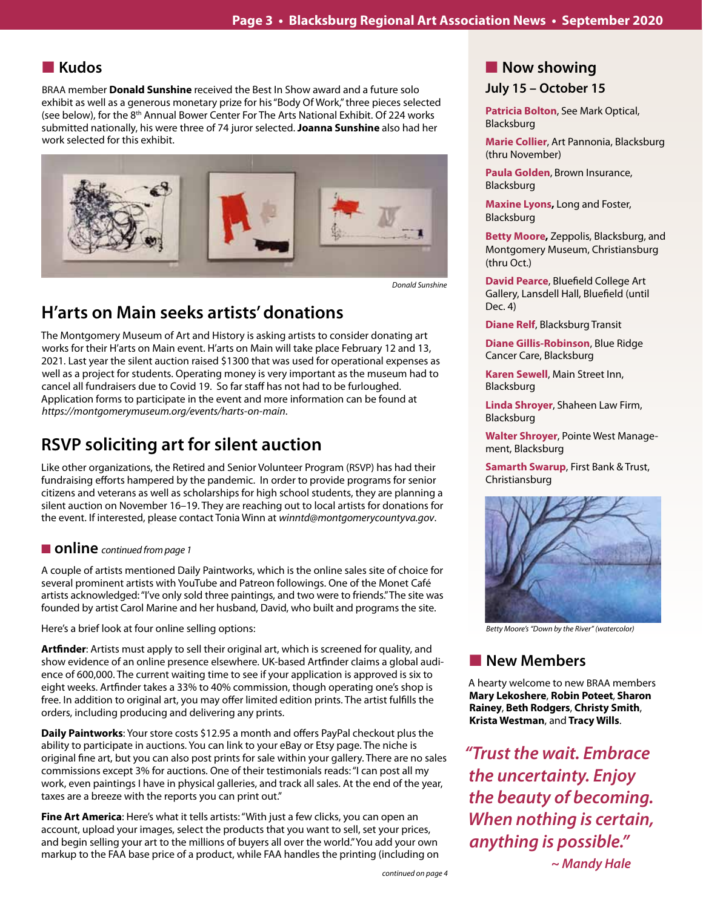# n **Kudos**

BRAA member **Donald Sunshine** received the Best In Show award and a future solo exhibit as well as a generous monetary prize for his "Body Of Work," three pieces selected (see below), for the 8<sup>th</sup> Annual Bower Center For The Arts National Exhibit. Of 224 works submitted nationally, his were three of 74 juror selected. **Joanna Sunshine** also had her work selected for this exhibit.



*Donald Sunshine*

# **H'arts on Main seeks artists' donations**

The Montgomery Museum of Art and History is asking artists to consider donating art works for their H'arts on Main event. H'arts on Main will take place February 12 and 13, 2021. Last year the silent auction raised \$1300 that was used for operational expenses as well as a project for students. Operating money is very important as the museum had to cancel all fundraisers due to Covid 19. So far staff has not had to be furloughed. Application forms to participate in the event and more information can be found at *https://montgomerymuseum.org/events/harts-on-main*.

# **RSVP soliciting art for silent auction**

Like other organizations, the Retired and Senior Volunteer Program (RSVP) has had their fundraising efforts hampered by the pandemic. In order to provide programs for senior citizens and veterans as well as scholarships for high school students, they are planning a silent auction on November 16–19. They are reaching out to local artists for donations for the event. If interested, please contact Tonia Winn at *winntd@montgomerycountyva.gov*.

### ■ **online** *continued from page 1*

A couple of artists mentioned Daily Paintworks, which is the online sales site of choice for several prominent artists with YouTube and Patreon followings. One of the Monet Café artists acknowledged: "I've only sold three paintings, and two were to friends." The site was founded by artist Carol Marine and her husband, David, who built and programs the site.

Here's a brief look at four online selling options:

**Artfinder**: Artists must apply to sell their original art, which is screened for quality, and show evidence of an online presence elsewhere. UK-based Artfinder claims a global audience of 600,000. The current waiting time to see if your application is approved is six to eight weeks. Artfinder takes a 33% to 40% commission, though operating one's shop is free. In addition to original art, you may offer limited edition prints. The artist fulfills the orders, including producing and delivering any prints.

**Daily Paintworks**: Your store costs \$12.95 a month and offers PayPal checkout plus the ability to participate in auctions. You can link to your eBay or Etsy page. The niche is original fine art, but you can also post prints for sale within your gallery. There are no sales commissions except 3% for auctions. One of their testimonials reads: "I can post all my work, even paintings I have in physical galleries, and track all sales. At the end of the year, taxes are a breeze with the reports you can print out."

**Fine Art America**: Here's what it tells artists: "With just a few clicks, you can open an account, upload your images, select the products that you want to sell, set your prices, and begin selling your art to the millions of buyers all over the world." You add your own markup to the FAA base price of a product, while FAA handles the printing (including on **Patricia Bolton**, See Mark Optical, Blacksburg

**Marie Collier**, Art Pannonia, Blacksburg (thru November)

**Paula Golden**, Brown Insurance, Blacksburg

**Maxine Lyons,** Long and Foster, Blacksburg

**Betty Moore,** Zeppolis, Blacksburg, and Montgomery Museum, Christiansburg (thru Oct.)

**David Pearce**, Bluefield College Art Gallery, Lansdell Hall, Bluefield (until Dec. 4)

**Diane Relf**, Blacksburg Transit

**Diane Gillis-Robinson**, Blue Ridge Cancer Care, Blacksburg

**Karen Sewell**, Main Street Inn, Blacksburg

**Linda Shroyer**, Shaheen Law Firm, Blacksburg

**Walter Shroyer**, Pointe West Management, Blacksburg

**Samarth Swarup**, First Bank & Trust, Christiansburg



*Betty Moore's "Down by the River" (watercolor)*

# **New Members**

A hearty welcome to new BRAA members **Mary Lekoshere**, **Robin Poteet**, **Sharon Rainey**, **Beth Rodgers**, **Christy Smith**, **Krista Westman**, and **Tracy Wills**.

*"Trust the wait. Embrace the uncertainty. Enjoy the beauty of becoming. When nothing is certain, anything is possible." ~ Mandy Hale*